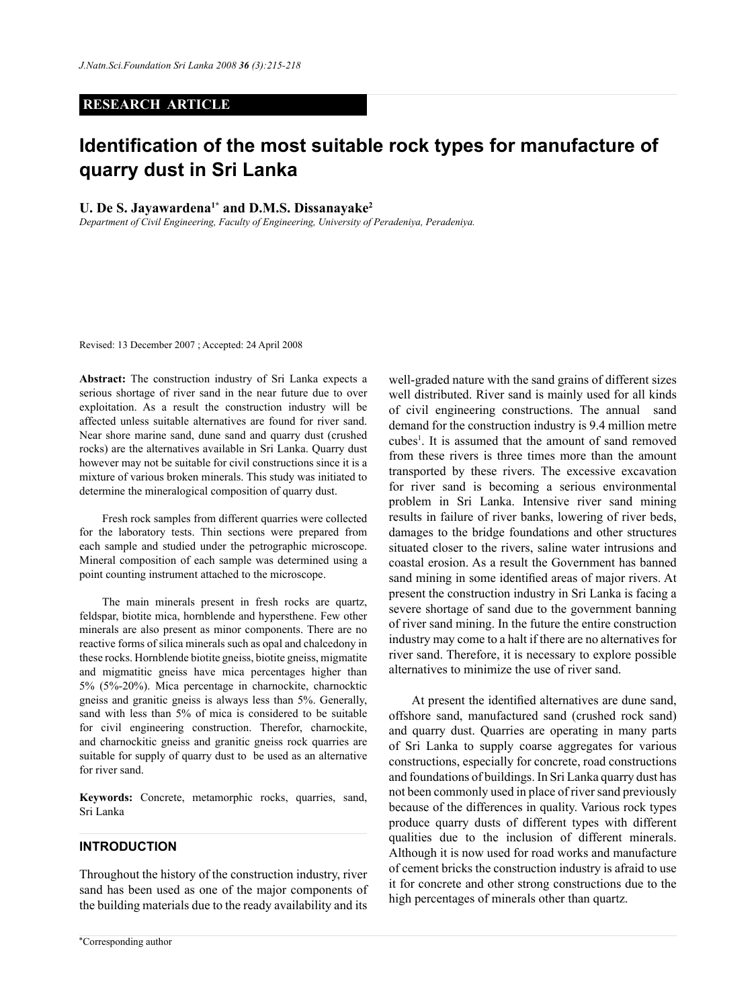### **RESEARCH ARTICLE**

# **Identification of the most suitable rock types for manufacture of quarry dust in Sri Lanka**

#### **U. De S. Jayawardena1\* and D.M.S. Dissanayake2**

*Department of Civil Engineering, Faculty of Engineering, University of Peradeniya, Peradeniya.*

Revised: 13 December 2007 ; Accepted: 24 April 2008

**Abstract:** The construction industry of Sri Lanka expects a serious shortage of river sand in the near future due to over exploitation. As a result the construction industry will be affected unless suitable alternatives are found for river sand. Near shore marine sand, dune sand and quarry dust (crushed rocks) are the alternatives available in Sri Lanka. Quarry dust however may not be suitable for civil constructions since it is a mixture of various broken minerals. This study was initiated to determine the mineralogical composition of quarry dust.

Fresh rock samples from different quarries were collected for the laboratory tests. Thin sections were prepared from each sample and studied under the petrographic microscope. Mineral composition of each sample was determined using a point counting instrument attached to the microscope.

The main minerals present in fresh rocks are quartz, feldspar, biotite mica, hornblende and hypersthene. Few other minerals are also present as minor components. There are no reactive forms of silica minerals such as opal and chalcedony in these rocks. Hornblende biotite gneiss, biotite gneiss, migmatite and migmatitic gneiss have mica percentages higher than 5% (5%-20%). Mica percentage in charnockite, charnocktic gneiss and granitic gneiss is always less than 5%. Generally, sand with less than 5% of mica is considered to be suitable for civil engineering construction. Therefor, charnockite, and charnockitic gneiss and granitic gneiss rock quarries are suitable for supply of quarry dust to be used as an alternative for river sand.

**Keywords:** Concrete, metamorphic rocks, quarries, sand, Sri Lanka

### **INTRODUCTION**

Throughout the history of the construction industry, river sand has been used as one of the major components of the building materials due to the ready availability and its well-graded nature with the sand grains of different sizes well distributed. River sand is mainly used for all kinds of civil engineering constructions. The annual sand demand for the construction industry is 9.4 million metre cubes<sup>1</sup>. It is assumed that the amount of sand removed from these rivers is three times more than the amount transported by these rivers. The excessive excavation for river sand is becoming a serious environmental problem in Sri Lanka. Intensive river sand mining results in failure of river banks, lowering of river beds, damages to the bridge foundations and other structures situated closer to the rivers, saline water intrusions and coastal erosion. As a result the Government has banned sand mining in some identified areas of major rivers. At present the construction industry in Sri Lanka is facing a severe shortage of sand due to the government banning of river sand mining. In the future the entire construction industry may come to a halt if there are no alternatives for river sand. Therefore, it is necessary to explore possible alternatives to minimize the use of river sand.

At present the identified alternatives are dune sand, offshore sand, manufactured sand (crushed rock sand) and quarry dust. Quarries are operating in many parts of Sri Lanka to supply coarse aggregates for various constructions, especially for concrete, road constructions and foundations of buildings. In Sri Lanka quarry dust has not been commonly used in place of river sand previously because of the differences in quality. Various rock types produce quarry dusts of different types with different qualities due to the inclusion of different minerals. Although it is now used for road works and manufacture of cement bricks the construction industry is afraid to use it for concrete and other strong constructions due to the high percentages of minerals other than quartz.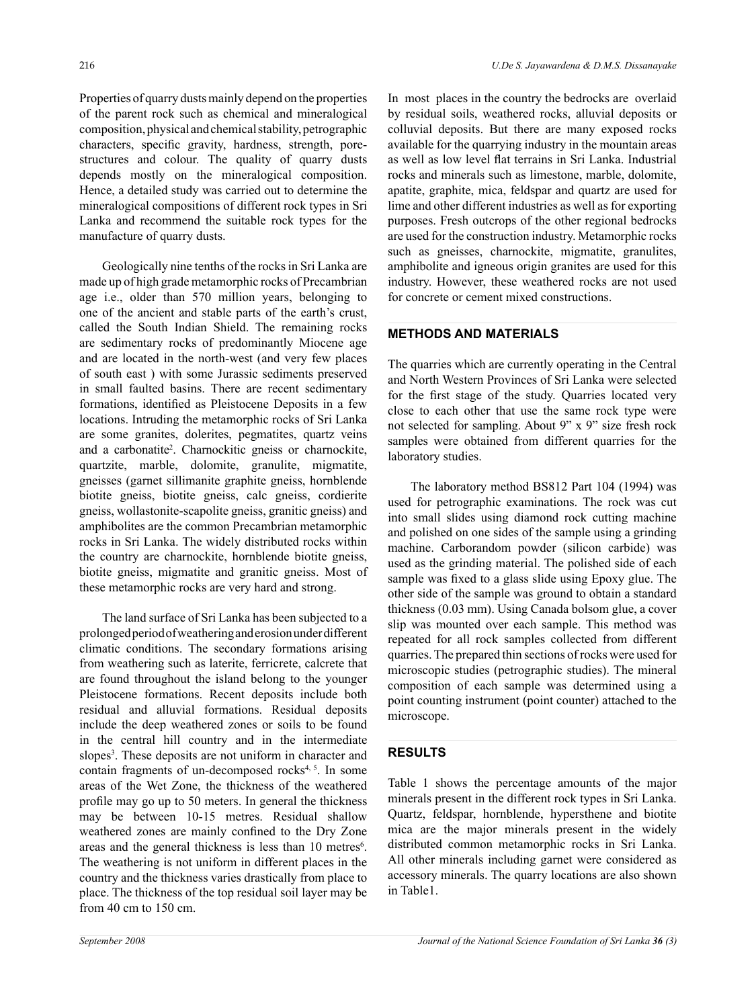Properties of quarry dusts mainly depend on the properties of the parent rock such as chemical and mineralogical composition, physical and chemical stability, petrographic characters, specific gravity, hardness, strength, porestructures and colour. The quality of quarry dusts depends mostly on the mineralogical composition. Hence, a detailed study was carried out to determine the mineralogical compositions of different rock types in Sri Lanka and recommend the suitable rock types for the manufacture of quarry dusts.

Geologically nine tenths of the rocks in Sri Lanka are made up of high grade metamorphic rocks of Precambrian age i.e., older than 570 million years, belonging to one of the ancient and stable parts of the earth's crust, called the South Indian Shield. The remaining rocks are sedimentary rocks of predominantly Miocene age and are located in the north-west (and very few places of south east ) with some Jurassic sediments preserved in small faulted basins. There are recent sedimentary formations, identified as Pleistocene Deposits in a few locations. Intruding the metamorphic rocks of Sri Lanka are some granites, dolerites, pegmatites, quartz veins and a carbonatite2 . Charnockitic gneiss or charnockite, quartzite, marble, dolomite, granulite, migmatite, gneisses (garnet sillimanite graphite gneiss, hornblende biotite gneiss, biotite gneiss, calc gneiss, cordierite gneiss, wollastonite-scapolite gneiss, granitic gneiss) and amphibolites are the common Precambrian metamorphic rocks in Sri Lanka. The widely distributed rocks within the country are charnockite, hornblende biotite gneiss, biotite gneiss, migmatite and granitic gneiss. Most of these metamorphic rocks are very hard and strong.

The land surface of Sri Lanka has been subjected to a prolonged period of weathering and erosion under different climatic conditions. The secondary formations arising from weathering such as laterite, ferricrete, calcrete that are found throughout the island belong to the younger Pleistocene formations. Recent deposits include both residual and alluvial formations. Residual deposits include the deep weathered zones or soils to be found in the central hill country and in the intermediate slopes<sup>3</sup>. These deposits are not uniform in character and contain fragments of un-decomposed rocks<sup>4, 5</sup>. In some areas of the Wet Zone, the thickness of the weathered profile may go up to 50 meters. In general the thickness may be between 10-15 metres. Residual shallow weathered zones are mainly confined to the Dry Zone areas and the general thickness is less than 10 metres<sup>6</sup>. The weathering is not uniform in different places in the country and the thickness varies drastically from place to place. The thickness of the top residual soil layer may be from 40 cm to 150 cm.

In most places in the country the bedrocks are overlaid by residual soils, weathered rocks, alluvial deposits or colluvial deposits. But there are many exposed rocks available for the quarrying industry in the mountain areas as well as low level flat terrains in Sri Lanka. Industrial rocks and minerals such as limestone, marble, dolomite, apatite, graphite, mica, feldspar and quartz are used for lime and other different industries as well as for exporting purposes. Fresh outcrops of the other regional bedrocks are used for the construction industry. Metamorphic rocks such as gneisses, charnockite, migmatite, granulites, amphibolite and igneous origin granites are used for this industry. However, these weathered rocks are not used for concrete or cement mixed constructions.

### **Methods and Materials**

The quarries which are currently operating in the Central and North Western Provinces of Sri Lanka were selected for the first stage of the study. Quarries located very close to each other that use the same rock type were not selected for sampling. About 9" x 9" size fresh rock samples were obtained from different quarries for the laboratory studies.

The laboratory method BS812 Part 104 (1994) was used for petrographic examinations. The rock was cut into small slides using diamond rock cutting machine and polished on one sides of the sample using a grinding machine. Carborandom powder (silicon carbide) was used as the grinding material. The polished side of each sample was fixed to a glass slide using Epoxy glue. The other side of the sample was ground to obtain a standard thickness (0.03 mm). Using Canada bolsom glue, a cover slip was mounted over each sample. This method was repeated for all rock samples collected from different quarries. The prepared thin sections of rocks were used for microscopic studies (petrographic studies). The mineral composition of each sample was determined using a point counting instrument (point counter) attached to the microscope.

## **RESULTS**

Table 1 shows the percentage amounts of the major minerals present in the different rock types in Sri Lanka. Quartz, feldspar, hornblende, hypersthene and biotite mica are the major minerals present in the widely distributed common metamorphic rocks in Sri Lanka. All other minerals including garnet were considered as accessory minerals. The quarry locations are also shown in Table1.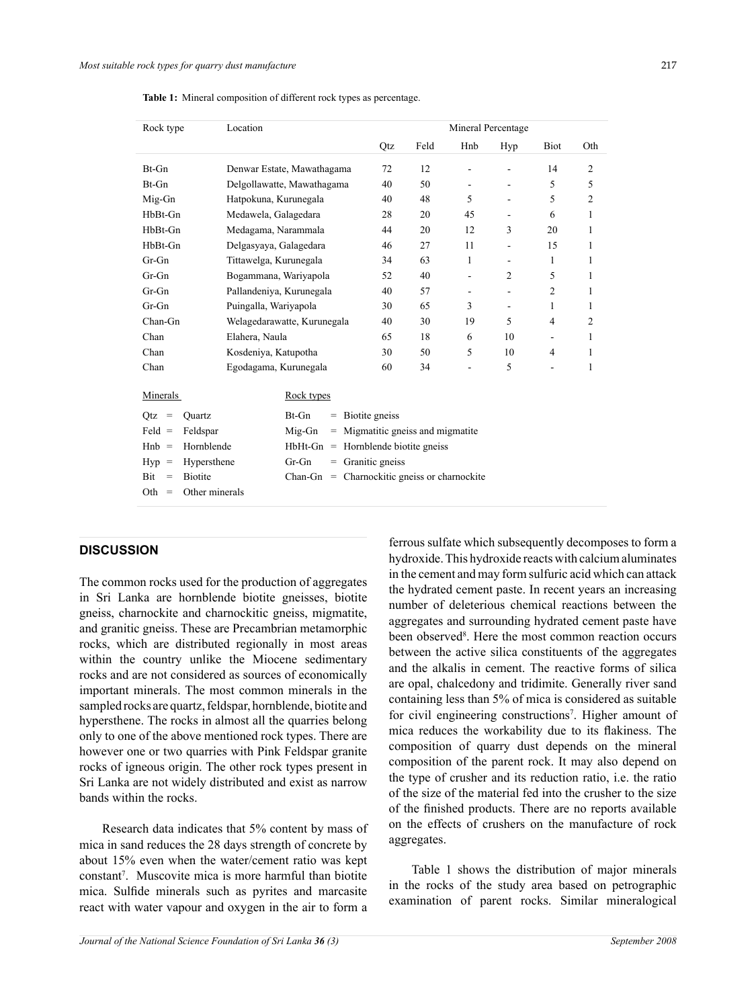| Location<br>Rock type             |                             |                                       | Mineral Percentage                |                          |                          |             |                |  |
|-----------------------------------|-----------------------------|---------------------------------------|-----------------------------------|--------------------------|--------------------------|-------------|----------------|--|
|                                   |                             | Qtz                                   | Feld                              | Hnb                      | Hyp                      | <b>Biot</b> | Oth            |  |
| Bt-Gn                             | Denwar Estate, Mawathagama  | 72                                    | 12                                |                          |                          | 14          | 2              |  |
| Bt-Gn                             | Delgollawatte, Mawathagama  | 40                                    | 50                                |                          |                          | 5           | 5              |  |
| Mig-Gn                            | Hatpokuna, Kurunegala       | 40                                    | 48                                | 5                        | $\overline{a}$           | 5           | $\overline{2}$ |  |
| HbBt-Gn                           | Medawela, Galagedara        | 28                                    | 20                                | 45                       | $\blacksquare$           | 6           | 1              |  |
| HbBt-Gn                           | Medagama, Narammala         | 44                                    | 20                                | 12                       | 3                        | 20          | 1              |  |
| HbBt-Gn                           | Delgasyaya, Galagedara      | 46                                    | 27                                | 11                       | $\overline{\phantom{a}}$ | 15          | 1              |  |
| $Gr-Gn$                           | Tittawelga, Kurunegala      | 34                                    | 63                                | 1                        | $\overline{\phantom{a}}$ | 1           | 1              |  |
| $Gr-Gn$                           | Bogammana, Wariyapola       | 52                                    | 40                                | ÷                        | $\overline{c}$           | 5           | 1              |  |
| $Gr-Gn$                           | Pallandeniya, Kurunegala    | 40                                    | 57                                | $\overline{\phantom{a}}$ | $\overline{\phantom{a}}$ | 2           | 1              |  |
| $Gr-Gn$                           | Puingalla, Wariyapola       | 30                                    | 65                                | 3                        | $\blacksquare$           | 1           | 1              |  |
| Chan-Gn                           | Welagedarawatte, Kurunegala | 40                                    | 30                                | 19                       | 5                        | 4           | 2              |  |
| Chan                              | Elahera, Naula              | 65                                    | 18                                | 6                        | 10                       |             | 1              |  |
| Chan                              | Kosdeniya, Katupotha        | 30                                    | 50                                | 5                        | 10                       | 4           | 1              |  |
| Chan                              | Egodagama, Kurunegala       | 60                                    | 34                                |                          | 5                        |             | 1              |  |
| Minerals                          | Rock types                  |                                       |                                   |                          |                          |             |                |  |
| Otz<br>Ouartz<br>$=$              | Bt-Gn<br>$=$                | Biotite gneiss                        |                                   |                          |                          |             |                |  |
| $Feld =$<br>Feldspar              | Mig-Gn                      |                                       | = Migmatitic gneiss and migmatite |                          |                          |             |                |  |
| Hornblende<br>$Hnb =$             | HbHt-Gn                     | $=$ Hornblende biotite gness          |                                   |                          |                          |             |                |  |
| Hypersthene<br>Hyp<br>$\equiv$    | $Gr-Gn$                     | $=$ Granitic gneiss                   |                                   |                          |                          |             |                |  |
| <b>Bit</b><br><b>Biotite</b><br>= | Chan-Gn                     | $=$ Charnockitic gness or charnockite |                                   |                          |                          |             |                |  |
| Oth<br>Other minerals<br>$=$      |                             |                                       |                                   |                          |                          |             |                |  |

**Table 1:** Mineral composition of different rock types as percentage.

# **DISCUSSION**

The common rocks used for the production of aggregates in Sri Lanka are hornblende biotite gneisses, biotite gneiss, charnockite and charnockitic gneiss, migmatite, and granitic gneiss. These are Precambrian metamorphic rocks, which are distributed regionally in most areas within the country unlike the Miocene sedimentary rocks and are not considered as sources of economically important minerals. The most common minerals in the sampled rocks are quartz, feldspar, hornblende, biotite and hypersthene. The rocks in almost all the quarries belong only to one of the above mentioned rock types. There are however one or two quarries with Pink Feldspar granite rocks of igneous origin. The other rock types present in Sri Lanka are not widely distributed and exist as narrow bands within the rocks.

Research data indicates that 5% content by mass of mica in sand reduces the 28 days strength of concrete by about 15% even when the water/cement ratio was kept constant<sup>7</sup>. Muscovite mica is more harmful than biotite mica. Sulfide minerals such as pyrites and marcasite react with water vapour and oxygen in the air to form a

ferrous sulfate which subsequently decomposes to form a hydroxide. This hydroxide reacts with calcium aluminates in the cement and may form sulfuric acid which can attack the hydrated cement paste. In recent years an increasing number of deleterious chemical reactions between the aggregates and surrounding hydrated cement paste have been observed<sup>8</sup>. Here the most common reaction occurs between the active silica constituents of the aggregates and the alkalis in cement. The reactive forms of silica are opal, chalcedony and tridimite. Generally river sand containing less than 5% of mica is considered as suitable for civil engineering constructions<sup>7</sup>. Higher amount of mica reduces the workability due to its flakiness. The composition of quarry dust depends on the mineral composition of the parent rock. It may also depend on the type of crusher and its reduction ratio, i.e. the ratio of the size of the material fed into the crusher to the size of the finished products. There are no reports available on the effects of crushers on the manufacture of rock aggregates.

Table 1 shows the distribution of major minerals in the rocks of the study area based on petrographic examination of parent rocks. Similar mineralogical